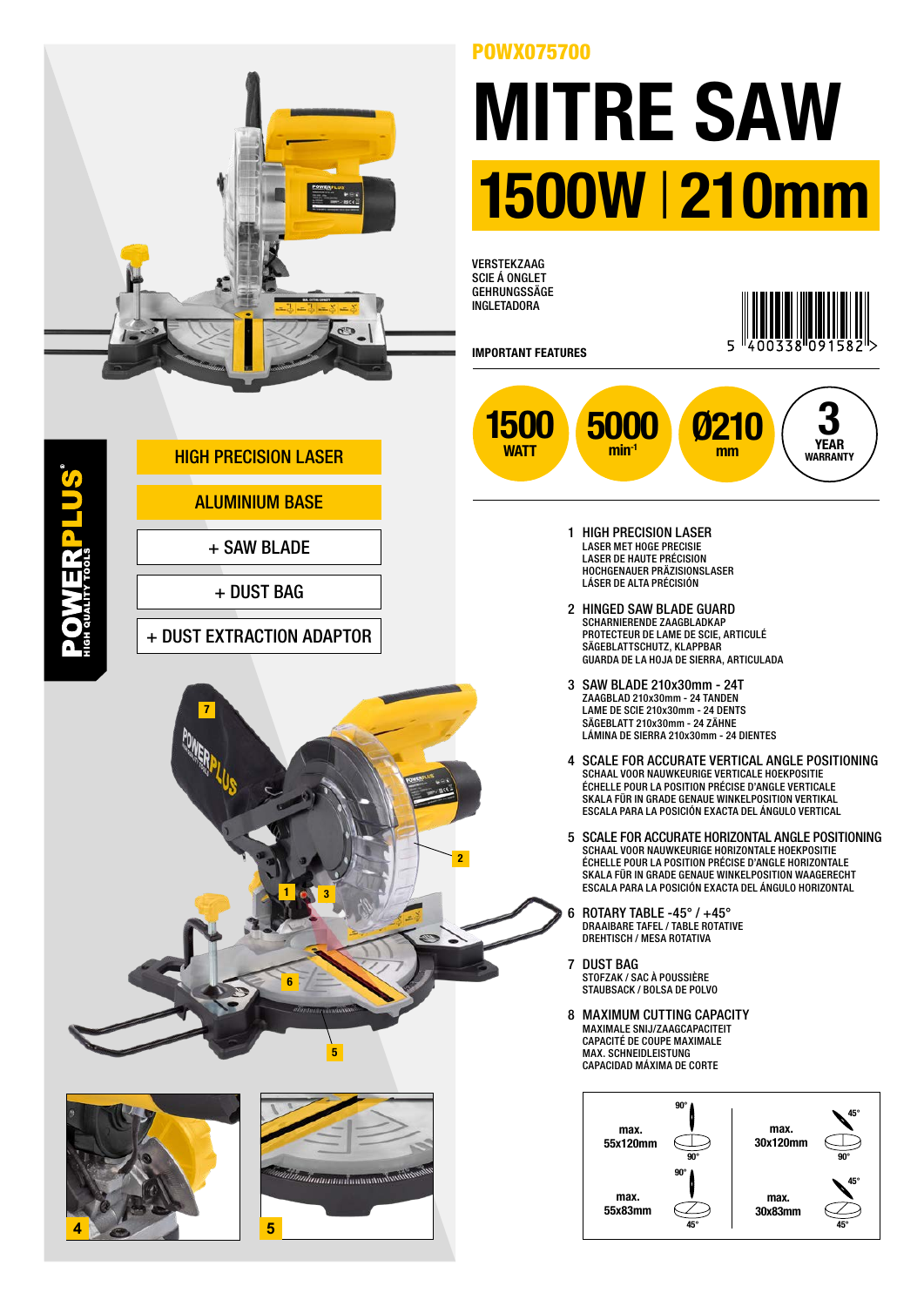

## POWX075700

## MITRE SAW 1500W |210mm

**VERSTEKZAAG** SCIE Á ONGLET GEHRUNGSSÄGE INGLETADORA



IMPORTANT FEATURES



- 1 HIGH PRECISION LASER LASER MET HOGE PRECISIE LASER DE HAUTE PRÉCISION HOCHGENAUER PRÄZISIONSLASER LÁSER DE ALTA PRÉCISIÓN
- 2 HINGED SAW BLADE GUARD SCHARNIERENDE ZAAGBLADKAP PROTECTEUR DE LAME DE SCIE, ARTICULÉ SÄGEBLATTSCHUTZ, KLAPPBAR GUARDA DE LA HOJA DE SIERRA, ARTICULADA
- 3 SAW BLADE 210x30mm 24T ZAAGBLAD 210x30mm - 24 TANDEN LAME DE SCIE 210x30mm - 24 DENTS SÄGEBLATT 210x30mm - 24 ZÄHNE LÁMINA DE SIERRA 210x30mm - 24 DIENTES
- 4 SCALE FOR ACCURATE VERTICAL ANGLE POSITIONING SCHAAL VOOR NAUWKEURIGE VERTICALE HOEKPOSITIE ÉCHELLE POUR LA POSITION PRÉCISE D'ANGLE VERTICALE SKALA FÜR IN GRADE GENAUE WINKELPOSITION VERTIKAL ESCALA PARA LA POSICIÓN EXACTA DEL ÁNGULO VERTICAL
- 5 SCALE FOR ACCURATE HORIZONTAL ANGLE POSITIONING SCHAAL VOOR NAUWKEURIGE HORIZONTALE HOEKPOSITIE ÉCHELLE POUR LA POSITION PRÉCISE D'ANGLE HORIZONTALE SKALA FÜR IN GRADE GENAUE WINKELPOSITION WAAGERECHT ESCALA PARA LA POSICIÓN EXACTA DEL ÁNGULO HORIZONTAL
- 6 ROTARY TABLE -45° / +45° DRAAIBARE TAFEL / TABLE ROTATIVE DREHTISCH / MESA ROTATIVA
- 7 DUST BAG STOFZAK / SAC À POUSSIÈRE STAUBSACK / BOLSA DE POLVO
- 8 MAXIMUM CUTTING CAPACITY MAXIMALE SNIJ/ZAAGCAPACITEIT CAPACITÉ DE COUPE MAXIMALE MAX. SCHNEIDLEISTUNG CAPACIDAD MÁXIMA DE CORTE



ALUMINIUM BASE

**OWERPLUS** 

+ SAW BLADE

HIGH PRECISION LASER

+ DUST BAG

+ DUST EXTRACTION ADAPTOR